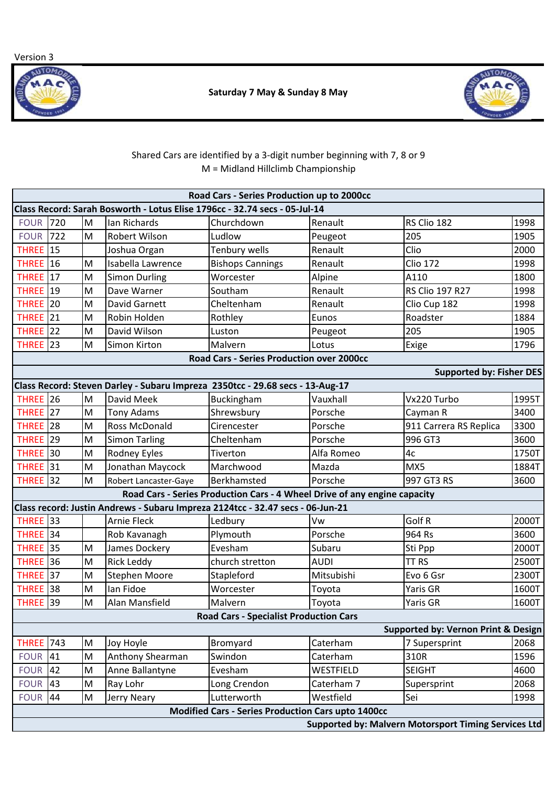Version 3





## Shared Cars are identified by a 3-digit number beginning with 7, 8 or 9 M = Midland Hillclimb Championship

|                      |     |           |                                                                                | Road Cars - Series Production up to 2000cc                                |             |                                                      |       |
|----------------------|-----|-----------|--------------------------------------------------------------------------------|---------------------------------------------------------------------------|-------------|------------------------------------------------------|-------|
|                      |     |           | Class Record: Sarah Bosworth - Lotus Elise 1796cc - 32.74 secs - 05-Jul-14     |                                                                           |             |                                                      |       |
| <b>FOUR</b>          | 720 | M         | <b>Ian Richards</b>                                                            | Churchdown                                                                | Renault     | RS Clio 182                                          | 1998  |
| <b>FOUR 722</b>      |     | M         | Robert Wilson                                                                  | Ludlow                                                                    | Peugeot     | 205                                                  | 1905  |
| <b>THREE</b> 15      |     |           | Joshua Organ                                                                   | Tenbury wells                                                             | Renault     | Clio                                                 | 2000  |
| <b>THREE</b> 16      |     | M         | Isabella Lawrence                                                              | <b>Bishops Cannings</b>                                                   | Renault     | <b>Clio 172</b>                                      | 1998  |
| THREE 17             |     | M         | <b>Simon Durling</b>                                                           | Worcester                                                                 | Alpine      | A110                                                 | 1800  |
| <b>THREE</b> 19      |     | M         | Dave Warner                                                                    | Southam                                                                   | Renault     | RS Clio 197 R27                                      | 1998  |
| <b>THREE</b> 20      |     | M         | David Garnett                                                                  | Cheltenham                                                                | Renault     | Clio Cup 182                                         | 1998  |
| <b>THREE</b> 21      |     | M         | Robin Holden                                                                   | Rothley                                                                   | Eunos       | Roadster                                             | 1884  |
| <b>THREE</b> 22      |     | M         | David Wilson                                                                   | Luston                                                                    | Peugeot     | 205                                                  | 1905  |
| <b>THREE</b> 23      |     | ${\sf M}$ | Simon Kirton                                                                   | Malvern                                                                   | Lotus       | Exige                                                | 1796  |
|                      |     |           |                                                                                | <b>Road Cars - Series Production over 2000cc</b>                          |             |                                                      |       |
|                      |     |           |                                                                                |                                                                           |             | <b>Supported by: Fisher DES</b>                      |       |
|                      |     |           | Class Record: Steven Darley - Subaru Impreza 2350tcc - 29.68 secs - 13-Aug-17  |                                                                           |             |                                                      |       |
| <b>THREE</b> 26      |     | M         | David Meek                                                                     | Buckingham                                                                | Vauxhall    | Vx220 Turbo                                          | 1995T |
| THREE 27             |     | M         | <b>Tony Adams</b>                                                              | Shrewsbury                                                                | Porsche     | Cayman R                                             | 3400  |
| THREE 28             |     | M         | Ross McDonald                                                                  | Cirencester                                                               | Porsche     | 911 Carrera RS Replica                               |       |
| <b>THREE</b> 29      |     | M         | <b>Simon Tarling</b>                                                           | Cheltenham                                                                | Porsche     | 996 GT3                                              |       |
| <b>THREE</b> 30      |     | M         | <b>Rodney Eyles</b>                                                            | Tiverton                                                                  | Alfa Romeo  | 4c                                                   |       |
| <b>THREE</b> 31      |     | M         | Jonathan Maycock                                                               | Marchwood                                                                 | Mazda       | MX5                                                  | 1884T |
| <b>THREE</b> 32      |     | M         | Robert Lancaster-Gaye                                                          | Berkhamsted                                                               | Porsche     | 997 GT3 RS                                           | 3600  |
|                      |     |           |                                                                                | Road Cars - Series Production Cars - 4 Wheel Drive of any engine capacity |             |                                                      |       |
|                      |     |           | Class record: Justin Andrews - Subaru Impreza 2124tcc - 32.47 secs - 06-Jun-21 |                                                                           |             |                                                      |       |
| <b>THREE</b> 33      |     |           | <b>Arnie Fleck</b>                                                             | Ledbury                                                                   | Vw          | Golf R                                               | 2000T |
| <b>THREE</b> 34      |     |           | Rob Kavanagh                                                                   | Plymouth                                                                  | Porsche     | 964 Rs                                               | 3600  |
| <b>THREE</b> 35      |     | M         | James Dockery                                                                  | Evesham                                                                   | Subaru      | Sti Ppp                                              | 2000T |
| <b>THREE</b> 36      |     | M         | <b>Rick Leddy</b>                                                              | church stretton                                                           | <b>AUDI</b> | TT <sub>RS</sub>                                     | 2500T |
| THREE <sup>137</sup> |     | M         | <b>Stephen Moore</b>                                                           | Stapleford                                                                | Mitsubishi  | Evo 6 Gsr                                            | 2300T |
| THREE 38             |     | M         | Ian Fidoe                                                                      | Worcester                                                                 | Toyota      | Yaris GR                                             | 1600T |
| THREE <sup>139</sup> |     | M         | Alan Mansfield                                                                 | Malvern                                                                   | Toyota      | Yaris GR                                             | 1600T |
|                      |     |           |                                                                                | <b>Road Cars - Specialist Production Cars</b>                             |             |                                                      |       |
|                      |     |           |                                                                                |                                                                           |             | <b>Supported by: Vernon Print &amp; Design</b>       |       |
| <b>THREE</b>         | 743 | M         | Joy Hoyle                                                                      | Bromyard                                                                  | Caterham    | 7 Supersprint                                        | 2068  |
| <b>FOUR</b>          | 41  | M         | Anthony Shearman                                                               | Swindon                                                                   | Caterham    | 310R                                                 | 1596  |
| <b>FOUR</b>          | 42  | M         | Anne Ballantyne                                                                | Evesham                                                                   | WESTFIELD   | <b>SEIGHT</b>                                        | 4600  |
| <b>FOUR</b>          | 43  | M         | Ray Lohr                                                                       | Long Crendon                                                              | Caterham 7  | Supersprint                                          | 2068  |
| <b>FOUR</b>          | 44  | ${\sf M}$ | Jerry Neary                                                                    | Lutterworth                                                               | Westfield   | Sei                                                  | 1998  |
|                      |     |           |                                                                                | Modified Cars - Series Production Cars upto 1400cc                        |             |                                                      |       |
|                      |     |           |                                                                                |                                                                           |             | Supported by: Malvern Motorsport Timing Services Ltd |       |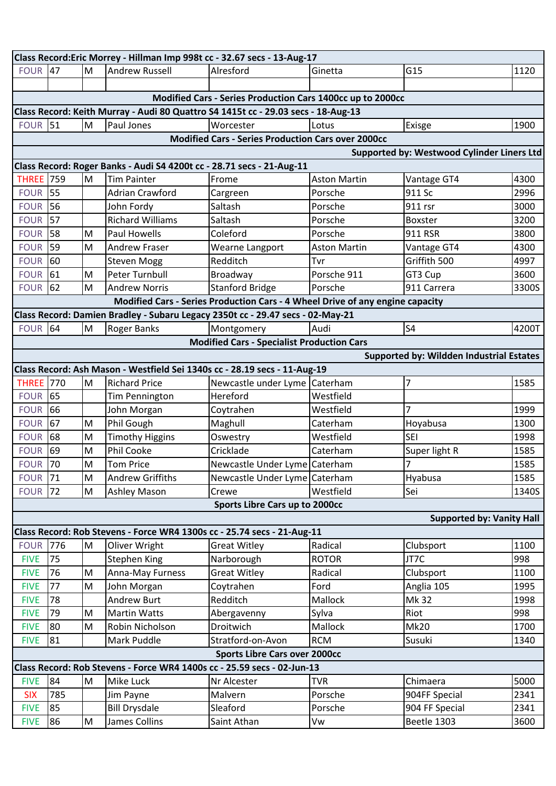| Class Record: Eric Morrey - Hillman Imp 998t cc - 32.67 secs - 13-Aug-17 |                                                                                   |                                                                                       |                                                                                |                                                                               |                     |                                                   |       |  |  |
|--------------------------------------------------------------------------|-----------------------------------------------------------------------------------|---------------------------------------------------------------------------------------|--------------------------------------------------------------------------------|-------------------------------------------------------------------------------|---------------------|---------------------------------------------------|-------|--|--|
| <b>FOUR 47</b>                                                           |                                                                                   | M                                                                                     | <b>Andrew Russell</b>                                                          | Alresford                                                                     | Ginetta             | G15                                               | 1120  |  |  |
|                                                                          |                                                                                   |                                                                                       |                                                                                |                                                                               |                     |                                                   |       |  |  |
|                                                                          |                                                                                   |                                                                                       |                                                                                | Modified Cars - Series Production Cars 1400cc up to 2000cc                    |                     |                                                   |       |  |  |
|                                                                          | Class Record: Keith Murray - Audi 80 Quattro S4 1415t cc - 29.03 secs - 18-Aug-13 |                                                                                       |                                                                                |                                                                               |                     |                                                   |       |  |  |
| <b>FOUR 51</b>                                                           |                                                                                   | M                                                                                     | Paul Jones                                                                     | Worcester                                                                     | Lotus               | Exisge                                            | 1900  |  |  |
|                                                                          |                                                                                   |                                                                                       |                                                                                | <b>Modified Cars - Series Production Cars over 2000cc</b>                     |                     |                                                   |       |  |  |
|                                                                          |                                                                                   |                                                                                       |                                                                                |                                                                               |                     | <b>Supported by: Westwood Cylinder Liners Ltd</b> |       |  |  |
|                                                                          |                                                                                   |                                                                                       | Class Record: Roger Banks - Audi S4 4200t cc - 28.71 secs - 21-Aug-11          |                                                                               |                     |                                                   |       |  |  |
| <b>THREE</b> 759                                                         |                                                                                   | M                                                                                     | <b>Tim Painter</b>                                                             | Frome                                                                         | <b>Aston Martin</b> | Vantage GT4                                       | 4300  |  |  |
| <b>FOUR 55</b>                                                           |                                                                                   |                                                                                       | <b>Adrian Crawford</b>                                                         | Cargreen                                                                      | Porsche             | 911 Sc                                            | 2996  |  |  |
| <b>FOUR 56</b>                                                           |                                                                                   |                                                                                       | John Fordy                                                                     | Saltash                                                                       | Porsche             | 911 rsr                                           | 3000  |  |  |
| <b>FOUR 57</b>                                                           |                                                                                   |                                                                                       | <b>Richard Williams</b>                                                        | Saltash                                                                       | Porsche             | Boxster                                           | 3200  |  |  |
| <b>FOUR 58</b>                                                           |                                                                                   | M                                                                                     | <b>Paul Howells</b>                                                            | Coleford                                                                      | Porsche             | 911 RSR                                           | 3800  |  |  |
| <b>FOUR 59</b>                                                           |                                                                                   | M                                                                                     | <b>Andrew Fraser</b>                                                           | Wearne Langport                                                               | <b>Aston Martin</b> | Vantage GT4                                       | 4300  |  |  |
| <b>FOUR 60</b>                                                           |                                                                                   |                                                                                       | <b>Steven Mogg</b>                                                             | Redditch                                                                      | Tvr                 | Griffith 500                                      | 4997  |  |  |
| <b>FOUR 61</b>                                                           |                                                                                   | M                                                                                     | Peter Turnbull                                                                 | Broadway                                                                      | Porsche 911         | GT3 Cup                                           | 3600  |  |  |
| <b>FOUR</b>                                                              | 62                                                                                | M                                                                                     | <b>Andrew Norris</b>                                                           | <b>Stanford Bridge</b>                                                        | Porsche             | 911 Carrera                                       | 3300S |  |  |
|                                                                          |                                                                                   |                                                                                       |                                                                                | Modified Cars - Series Production Cars - 4 Wheel Drive of any engine capacity |                     |                                                   |       |  |  |
|                                                                          |                                                                                   |                                                                                       | Class Record: Damien Bradley - Subaru Legacy 2350t cc - 29.47 secs - 02-May-21 |                                                                               |                     |                                                   |       |  |  |
| <b>FOUR 64</b>                                                           |                                                                                   | M                                                                                     | <b>Roger Banks</b>                                                             | Montgomery                                                                    | Audi                | S <sub>4</sub>                                    | 4200T |  |  |
|                                                                          |                                                                                   |                                                                                       |                                                                                | <b>Modified Cars - Specialist Production Cars</b>                             |                     |                                                   |       |  |  |
|                                                                          |                                                                                   |                                                                                       |                                                                                |                                                                               |                     | <b>Supported by: Wildden Industrial Estates</b>   |       |  |  |
|                                                                          |                                                                                   |                                                                                       | Class Record: Ash Mason - Westfield Sei 1340s cc - 28.19 secs - 11-Aug-19      |                                                                               |                     |                                                   |       |  |  |
| <b>THREE</b> 770                                                         |                                                                                   | M                                                                                     | <b>Richard Price</b>                                                           | Newcastle under Lyme Caterham                                                 |                     | 7                                                 | 1585  |  |  |
| <b>FOUR 65</b>                                                           |                                                                                   |                                                                                       | Tim Pennington                                                                 | Hereford                                                                      | Westfield           |                                                   |       |  |  |
| <b>FOUR 66</b>                                                           |                                                                                   |                                                                                       | John Morgan                                                                    | Coytrahen                                                                     | Westfield           | 7                                                 | 1999  |  |  |
| <b>FOUR 67</b>                                                           |                                                                                   | M                                                                                     | Phil Gough                                                                     | Maghull                                                                       | Caterham            | Hoyabusa                                          | 1300  |  |  |
| <b>FOUR 68</b>                                                           |                                                                                   | M                                                                                     | <b>Timothy Higgins</b>                                                         | Oswestry                                                                      | Westfield           | <b>SEI</b>                                        | 1998  |  |  |
| <b>FOUR 69</b>                                                           |                                                                                   | M                                                                                     | <b>Phil Cooke</b>                                                              | Cricklade                                                                     | Caterham            | Super light R                                     | 1585  |  |  |
| <b>FOUR 70</b>                                                           |                                                                                   | M                                                                                     | <b>Tom Price</b>                                                               | Newcastle Under Lyme Caterham                                                 |                     | $\overline{7}$                                    | 1585  |  |  |
| <b>FOUR 71</b>                                                           |                                                                                   | M                                                                                     | <b>Andrew Griffiths</b>                                                        | Newcastle Under Lyme Caterham                                                 |                     | Hyabusa                                           | 1585  |  |  |
| <b>FOUR 72</b>                                                           |                                                                                   | M                                                                                     | <b>Ashley Mason</b>                                                            | Crewe                                                                         | Westfield           | Sei                                               | 1340S |  |  |
|                                                                          |                                                                                   |                                                                                       |                                                                                | Sports Libre Cars up to 2000cc                                                |                     |                                                   |       |  |  |
|                                                                          |                                                                                   |                                                                                       |                                                                                |                                                                               |                     | <b>Supported by: Vanity Hall</b>                  |       |  |  |
|                                                                          |                                                                                   |                                                                                       | Class Record: Rob Stevens - Force WR4 1300s cc - 25.74 secs - 21-Aug-11        |                                                                               |                     |                                                   |       |  |  |
| <b>FOUR 776</b>                                                          |                                                                                   | M                                                                                     | Oliver Wright                                                                  | <b>Great Witley</b>                                                           | Radical             | Clubsport                                         | 1100  |  |  |
| <b>FIVE</b>                                                              | 75                                                                                |                                                                                       | <b>Stephen King</b>                                                            | Narborough                                                                    | <b>ROTOR</b>        | JT7C                                              | 998   |  |  |
| <b>FIVE</b>                                                              | 76                                                                                | M                                                                                     | Anna-May Furness                                                               | <b>Great Witley</b>                                                           | Radical             | Clubsport                                         | 1100  |  |  |
| <b>FIVE</b>                                                              | 77                                                                                | $\mathsf{M}% _{T}=\mathsf{M}_{T}\!\left( a,b\right) ,\ \mathsf{M}_{T}=\mathsf{M}_{T}$ | John Morgan                                                                    | Coytrahen                                                                     | Ford                | Anglia 105                                        | 1995  |  |  |
| <b>FIVE</b>                                                              | 78                                                                                |                                                                                       | <b>Andrew Burt</b>                                                             | Redditch                                                                      | Mallock             | Mk 32                                             | 1998  |  |  |
| <b>FIVE</b>                                                              | 79                                                                                | M                                                                                     | <b>Martin Watts</b>                                                            | Abergavenny                                                                   | Sylva               | Riot                                              | 998   |  |  |
| <b>FIVE</b>                                                              | 80                                                                                | M                                                                                     | Robin Nicholson                                                                | Droitwich                                                                     | Mallock             | <b>Mk20</b>                                       | 1700  |  |  |
| <b>FIVE</b>                                                              | 81                                                                                |                                                                                       | Mark Puddle                                                                    | Stratford-on-Avon                                                             | <b>RCM</b>          | Susuki                                            | 1340  |  |  |
| <b>Sports Libre Cars over 2000cc</b>                                     |                                                                                   |                                                                                       |                                                                                |                                                                               |                     |                                                   |       |  |  |
| Class Record: Rob Stevens - Force WR4 1400s cc - 25.59 secs - 02-Jun-13  |                                                                                   |                                                                                       |                                                                                |                                                                               |                     |                                                   |       |  |  |
| <b>FIVE</b>                                                              | 84                                                                                | M                                                                                     | Mike Luck                                                                      | Nr Alcester                                                                   | <b>TVR</b>          | Chimaera                                          | 5000  |  |  |
| <b>SIX</b>                                                               | 785                                                                               |                                                                                       | Jim Payne                                                                      | Malvern                                                                       | Porsche             | 904FF Special                                     | 2341  |  |  |
| <b>FIVE</b>                                                              | 85                                                                                |                                                                                       | <b>Bill Drysdale</b>                                                           | Sleaford                                                                      | Porsche             | 904 FF Special                                    | 2341  |  |  |
| <b>FIVE</b>                                                              | 86                                                                                | M                                                                                     | James Collins                                                                  | Saint Athan                                                                   | Vw                  | Beetle 1303                                       | 3600  |  |  |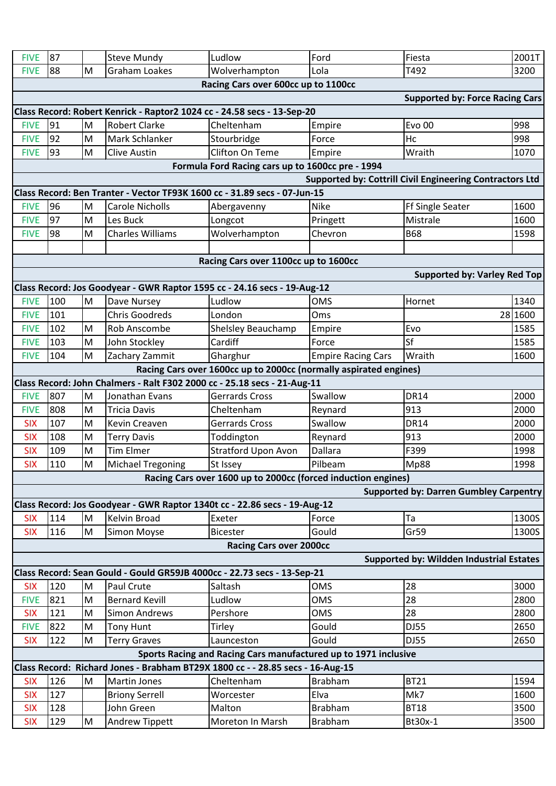| <b>FIVE</b> | 87  |   | <b>Steve Mundy</b>       | Ludlow                                                                                     | Ford                                                     | Fiesta                                          | 2001T   |
|-------------|-----|---|--------------------------|--------------------------------------------------------------------------------------------|----------------------------------------------------------|-------------------------------------------------|---------|
| <b>FIVE</b> | 88  | M | <b>Graham Loakes</b>     | Wolverhampton                                                                              | Lola                                                     | T492                                            | 3200    |
|             |     |   |                          | Racing Cars over 600cc up to 1100cc                                                        |                                                          |                                                 |         |
|             |     |   |                          |                                                                                            |                                                          | <b>Supported by: Force Racing Cars</b>          |         |
|             |     |   |                          | Class Record: Robert Kenrick - Raptor2 1024 cc - 24.58 secs - 13-Sep-20                    |                                                          |                                                 |         |
| <b>FIVE</b> | 91  | M | <b>Robert Clarke</b>     | Cheltenham                                                                                 | Empire                                                   | <b>Evo 00</b>                                   | 998     |
| <b>FIVE</b> | 92  | M | Mark Schlanker           | Stourbridge                                                                                | Force                                                    | Hc                                              | 998     |
| <b>FIVE</b> | 93  | M | <b>Clive Austin</b>      | Clifton On Teme                                                                            | Empire                                                   | Wraith                                          | 1070    |
|             |     |   |                          | Formula Ford Racing cars up to 1600cc pre - 1994                                           |                                                          |                                                 |         |
|             |     |   |                          |                                                                                            | Supported by: Cottrill Civil Engineering Contractors Ltd |                                                 |         |
|             |     |   |                          | Class Record: Ben Tranter - Vector TF93K 1600 cc - 31.89 secs - 07-Jun-15                  |                                                          |                                                 |         |
| <b>FIVE</b> | 96  | M | <b>Carole Nicholls</b>   | Abergavenny                                                                                | <b>Nike</b>                                              | Ff Single Seater                                | 1600    |
| <b>FIVE</b> | 97  | M | Les Buck                 | Longcot                                                                                    | Pringett                                                 | Mistrale                                        | 1600    |
| <b>FIVE</b> | 98  | M | <b>Charles Williams</b>  | Wolverhampton                                                                              | Chevron                                                  | <b>B68</b>                                      | 1598    |
|             |     |   |                          |                                                                                            |                                                          |                                                 |         |
|             |     |   |                          | Racing Cars over 1100cc up to 1600cc                                                       |                                                          |                                                 |         |
|             |     |   |                          |                                                                                            |                                                          | <b>Supported by: Varley Red Top</b>             |         |
|             |     |   |                          | Class Record: Jos Goodyear - GWR Raptor 1595 cc - 24.16 secs - 19-Aug-12                   |                                                          |                                                 |         |
| <b>FIVE</b> | 100 | M | Dave Nursey              | Ludlow                                                                                     | <b>OMS</b>                                               | Hornet                                          | 1340    |
| <b>FIVE</b> | 101 |   | <b>Chris Goodreds</b>    | London                                                                                     | Oms                                                      |                                                 | 28 1600 |
| <b>FIVE</b> | 102 | M | Rob Anscombe             | <b>Shelsley Beauchamp</b>                                                                  | Empire                                                   | Evo                                             | 1585    |
| <b>FIVE</b> | 103 | M | John Stockley            | Cardiff                                                                                    | Force                                                    | Sf                                              | 1585    |
| <b>FIVE</b> | 104 | M | Zachary Zammit           | Gharghur                                                                                   | <b>Empire Racing Cars</b>                                | Wraith                                          | 1600    |
|             |     |   |                          | Racing Cars over 1600cc up to 2000cc (normally aspirated engines)                          |                                                          |                                                 |         |
| <b>FIVE</b> | 807 | M | Jonathan Evans           | Class Record: John Chalmers - Ralt F302 2000 cc - 25.18 secs - 21-Aug-11<br>Gerrards Cross | Swallow                                                  | <b>DR14</b>                                     | 2000    |
| <b>FIVE</b> | 808 | M | <b>Tricia Davis</b>      | Cheltenham                                                                                 | Reynard                                                  | 913                                             | 2000    |
| <b>SIX</b>  | 107 | M | Kevin Creaven            | Gerrards Cross                                                                             | Swallow                                                  | <b>DR14</b>                                     | 2000    |
| <b>SIX</b>  | 108 | M | <b>Terry Davis</b>       | Toddington                                                                                 | Reynard                                                  | 913                                             | 2000    |
| <b>SIX</b>  | 109 | M | <b>Tim Elmer</b>         | <b>Stratford Upon Avon</b>                                                                 | <b>Dallara</b>                                           | F399                                            | 1998    |
| <b>SIX</b>  | 110 | M | <b>Michael Tregoning</b> | St Issey                                                                                   | Pilbeam                                                  | Mp88                                            | 1998    |
|             |     |   |                          | Racing Cars over 1600 up to 2000cc (forced induction engines)                              |                                                          |                                                 |         |
|             |     |   |                          |                                                                                            |                                                          | <b>Supported by: Darren Gumbley Carpentry</b>   |         |
|             |     |   |                          | Class Record: Jos Goodyear - GWR Raptor 1340t cc - 22.86 secs - 19-Aug-12                  |                                                          |                                                 |         |
| <b>SIX</b>  | 114 | M | Kelvin Broad             | Exeter                                                                                     | Force                                                    | Ta                                              | 1300S   |
| <b>SIX</b>  | 116 | M | Simon Moyse              | <b>Bicester</b>                                                                            | Gould                                                    | Gr59                                            | 1300S   |
|             |     |   |                          | <b>Racing Cars over 2000cc</b>                                                             |                                                          |                                                 |         |
|             |     |   |                          |                                                                                            |                                                          | <b>Supported by: Wildden Industrial Estates</b> |         |
|             |     |   |                          | Class Record: Sean Gould - Gould GR59JB 4000cc - 22.73 secs - 13-Sep-21                    |                                                          |                                                 |         |
| <b>SIX</b>  | 120 | M | Paul Crute               | Saltash                                                                                    | <b>OMS</b>                                               | 28                                              | 3000    |
| <b>FIVE</b> | 821 | M | <b>Bernard Kevill</b>    | Ludlow                                                                                     | <b>OMS</b>                                               | 28                                              | 2800    |
| <b>SIX</b>  | 121 | M | <b>Simon Andrews</b>     | Pershore                                                                                   | <b>OMS</b>                                               | 28                                              | 2800    |
| <b>FIVE</b> | 822 | M | <b>Tony Hunt</b>         | Tirley                                                                                     | Gould                                                    | DJ55                                            | 2650    |
| <b>SIX</b>  | 122 | M | <b>Terry Graves</b>      | Launceston                                                                                 | Gould                                                    | <b>DJ55</b>                                     | 2650    |
|             |     |   |                          | Sports Racing and Racing Cars manufactured up to 1971 inclusive                            |                                                          |                                                 |         |
|             |     |   |                          | Class Record: Richard Jones - Brabham BT29X 1800 cc - - 28.85 secs - 16-Aug-15             |                                                          |                                                 |         |
| <b>SIX</b>  | 126 | M | <b>Martin Jones</b>      | Cheltenham                                                                                 | <b>Brabham</b>                                           | <b>BT21</b>                                     | 1594    |
| <b>SIX</b>  | 127 |   | <b>Briony Serrell</b>    | Worcester                                                                                  | Elva                                                     | Mk7                                             | 1600    |
| <b>SIX</b>  | 128 |   | John Green               | Malton                                                                                     | <b>Brabham</b>                                           | <b>BT18</b>                                     | 3500    |
| <b>SIX</b>  | 129 | M | Andrew Tippett           | Moreton In Marsh                                                                           | <b>Brabham</b>                                           | Bt30x-1                                         | 3500    |
|             |     |   |                          |                                                                                            |                                                          |                                                 |         |